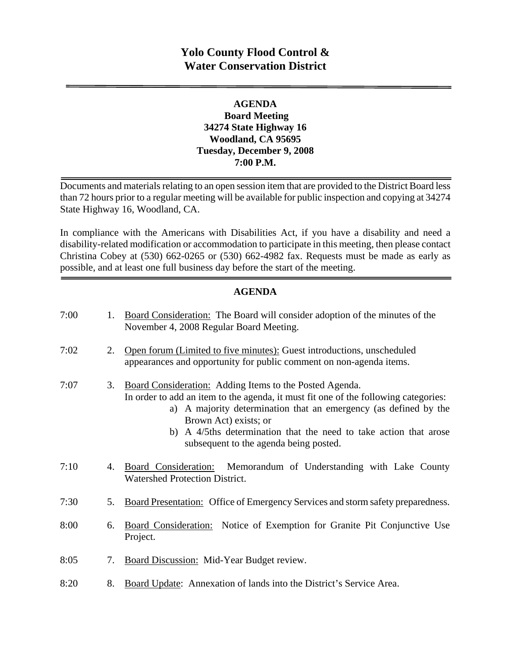# **Yolo County Flood Control & Water Conservation District**

## **AGENDA Board Meeting 34274 State Highway 16 Woodland, CA 95695 Tuesday, December 9, 2008 7:00 P.M.**

Documents and materials relating to an open session item that are provided to the District Board less than 72 hours prior to a regular meeting will be available for public inspection and copying at 34274 State Highway 16, Woodland, CA.

In compliance with the Americans with Disabilities Act, if you have a disability and need a disability-related modification or accommodation to participate in this meeting, then please contact Christina Cobey at (530) 662-0265 or (530) 662-4982 fax. Requests must be made as early as possible, and at least one full business day before the start of the meeting.

### **AGENDA**

| 7:00 | 1. | Board Consideration: The Board will consider adoption of the minutes of the<br>November 4, 2008 Regular Board Meeting.                                                                                                                                                                                                                                     |
|------|----|------------------------------------------------------------------------------------------------------------------------------------------------------------------------------------------------------------------------------------------------------------------------------------------------------------------------------------------------------------|
| 7:02 | 2. | Open forum (Limited to five minutes): Guest introductions, unscheduled<br>appearances and opportunity for public comment on non-agenda items.                                                                                                                                                                                                              |
| 7:07 | 3. | Board Consideration: Adding Items to the Posted Agenda.<br>In order to add an item to the agenda, it must fit one of the following categories:<br>a) A majority determination that an emergency (as defined by the<br>Brown Act) exists; or<br>b) A 4/5ths determination that the need to take action that arose<br>subsequent to the agenda being posted. |
| 7:10 | 4. | Board Consideration:<br>Memorandum of Understanding with Lake County<br><b>Watershed Protection District.</b>                                                                                                                                                                                                                                              |
| 7:30 | 5. | Board Presentation: Office of Emergency Services and storm safety preparedness.                                                                                                                                                                                                                                                                            |
| 8:00 | 6. | <b>Board Consideration:</b> Notice of Exemption for Granite Pit Conjunctive Use<br>Project.                                                                                                                                                                                                                                                                |
| 8:05 | 7. | Board Discussion: Mid-Year Budget review.                                                                                                                                                                                                                                                                                                                  |
| 8:20 | 8. | Board Update: Annexation of lands into the District's Service Area.                                                                                                                                                                                                                                                                                        |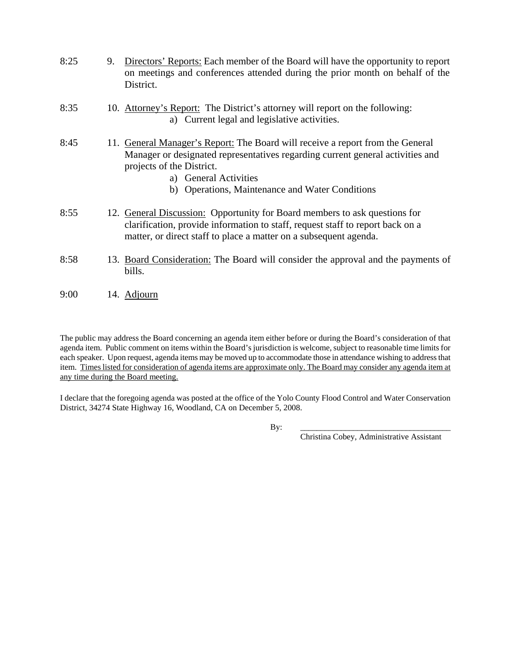| 8:25 | 9. | Directors' Reports: Each member of the Board will have the opportunity to report<br>on meetings and conferences attended during the prior month on behalf of the<br>District.                                                                                             |
|------|----|---------------------------------------------------------------------------------------------------------------------------------------------------------------------------------------------------------------------------------------------------------------------------|
| 8:35 |    | 10. Attorney's Report: The District's attorney will report on the following:<br>a) Current legal and legislative activities.                                                                                                                                              |
| 8:45 |    | 11. General Manager's Report: The Board will receive a report from the General<br>Manager or designated representatives regarding current general activities and<br>projects of the District.<br>a) General Activities<br>b) Operations, Maintenance and Water Conditions |
| 8:55 |    | 12. General Discussion: Opportunity for Board members to ask questions for<br>clarification, provide information to staff, request staff to report back on a<br>matter, or direct staff to place a matter on a subsequent agenda.                                         |
| 8:58 |    | 13. Board Consideration: The Board will consider the approval and the payments of<br>bills.                                                                                                                                                                               |

9:00 14. Adjourn

The public may address the Board concerning an agenda item either before or during the Board's consideration of that agenda item. Public comment on items within the Board's jurisdiction is welcome, subject to reasonable time limits for each speaker. Upon request, agenda items may be moved up to accommodate those in attendance wishing to address that item. Times listed for consideration of agenda items are approximate only. The Board may consider any agenda item at any time during the Board meeting.

I declare that the foregoing agenda was posted at the office of the Yolo County Flood Control and Water Conservation District, 34274 State Highway 16, Woodland, CA on December 5, 2008.

By: \_\_\_\_\_\_\_\_\_\_\_\_\_\_\_\_\_\_\_\_\_\_\_\_\_\_\_\_\_\_\_\_\_\_\_\_\_

Christina Cobey, Administrative Assistant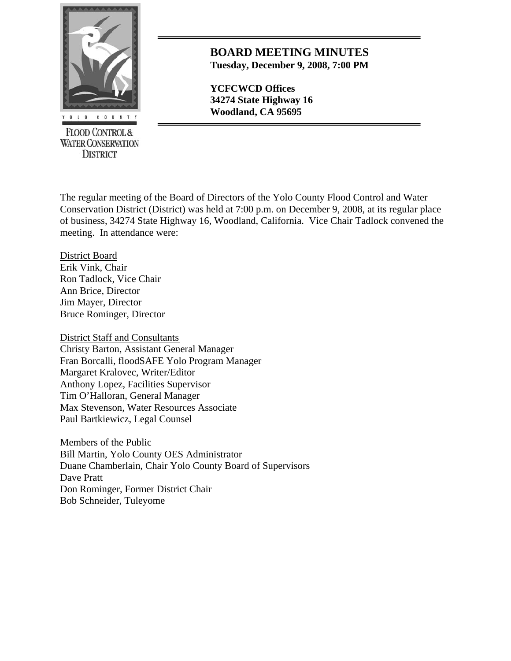

**FLOOD CONTROL & WATER CONSERVATION DISTRICT** 

## **BOARD MEETING MINUTES Tuesday, December 9, 2008, 7:00 PM**

**YCFCWCD Offices 34274 State Highway 16** 

The regular meeting of the Board of Directors of the Yolo County Flood Control and Water Conservation District (District) was held at 7:00 p.m. on December 9, 2008, at its regular place of business, 34274 State Highway 16, Woodland, California. Vice Chair Tadlock convened the meeting. In attendance were:

District Board Erik Vink, Chair Ron Tadlock, Vice Chair Ann Brice, Director Jim Mayer, Director Bruce Rominger, Director

District Staff and Consultants Christy Barton, Assistant General Manager Fran Borcalli, floodSAFE Yolo Program Manager Margaret Kralovec, Writer/Editor Anthony Lopez, Facilities Supervisor Tim O'Halloran, General Manager Max Stevenson, Water Resources Associate Paul Bartkiewicz, Legal Counsel

Members of the Public Bill Martin, Yolo County OES Administrator Duane Chamberlain, Chair Yolo County Board of Supervisors Dave Pratt Don Rominger, Former District Chair Bob Schneider, Tuleyome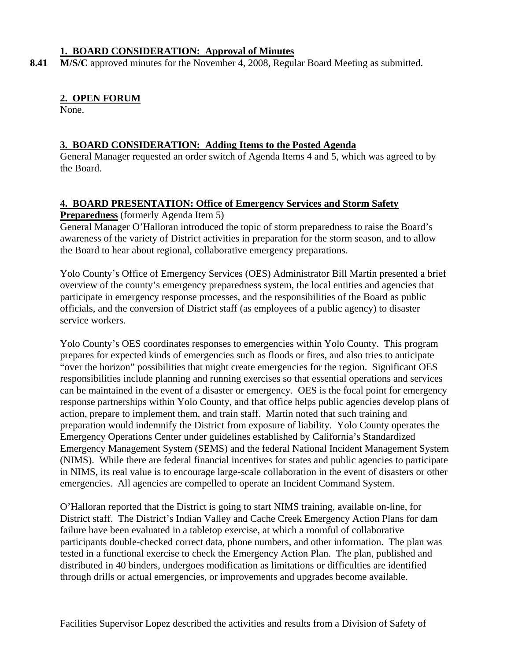### **1. BOARD CONSIDERATION: Approval of Minutes**

8.41 M/S/C approved minutes for the November 4, 2008, Regular Board Meeting as submitted.

## **2. OPEN FORUM**

None.

## **3. BOARD CONSIDERATION: Adding Items to the Posted Agenda**

General Manager requested an order switch of Agenda Items 4 and 5, which was agreed to by the Board.

### **4. BOARD PRESENTATION: Office of Emergency Services and Storm Safety**

**Preparedness** (formerly Agenda Item 5)

General Manager O'Halloran introduced the topic of storm preparedness to raise the Board's awareness of the variety of District activities in preparation for the storm season, and to allow the Board to hear about regional, collaborative emergency preparations.

Yolo County's Office of Emergency Services (OES) Administrator Bill Martin presented a brief overview of the county's emergency preparedness system, the local entities and agencies that participate in emergency response processes, and the responsibilities of the Board as public officials, and the conversion of District staff (as employees of a public agency) to disaster service workers.

Yolo County's OES coordinates responses to emergencies within Yolo County. This program prepares for expected kinds of emergencies such as floods or fires, and also tries to anticipate "over the horizon" possibilities that might create emergencies for the region. Significant OES responsibilities include planning and running exercises so that essential operations and services can be maintained in the event of a disaster or emergency. OES is the focal point for emergency response partnerships within Yolo County, and that office helps public agencies develop plans of action, prepare to implement them, and train staff. Martin noted that such training and preparation would indemnify the District from exposure of liability. Yolo County operates the Emergency Operations Center under guidelines established by California's Standardized Emergency Management System (SEMS) and the federal National Incident Management System (NIMS). While there are federal financial incentives for states and public agencies to participate in NIMS, its real value is to encourage large-scale collaboration in the event of disasters or other emergencies. All agencies are compelled to operate an Incident Command System.

O'Halloran reported that the District is going to start NIMS training, available on-line, for District staff. The District's Indian Valley and Cache Creek Emergency Action Plans for dam failure have been evaluated in a tabletop exercise, at which a roomful of collaborative participants double-checked correct data, phone numbers, and other information. The plan was tested in a functional exercise to check the Emergency Action Plan. The plan, published and distributed in 40 binders, undergoes modification as limitations or difficulties are identified through drills or actual emergencies, or improvements and upgrades become available.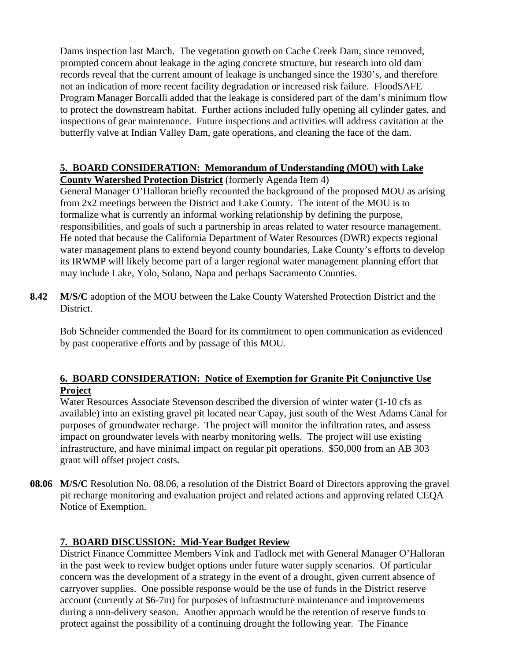Dams inspection last March. The vegetation growth on Cache Creek Dam, since removed, prompted concern about leakage in the aging concrete structure, but research into old dam records reveal that the current amount of leakage is unchanged since the 1930's, and therefore not an indication of more recent facility degradation or increased risk failure. FloodSAFE Program Manager Borcalli added that the leakage is considered part of the dam's minimum flow to protect the downstream habitat. Further actions included fully opening all cylinder gates, and inspections of gear maintenance. Future inspections and activities will address cavitation at the butterfly valve at Indian Valley Dam, gate operations, and cleaning the face of the dam.

#### **5. BOARD CONSIDERATION: Memorandum of Understanding (MOU) with Lake County Watershed Protection District** (formerly Agenda Item 4)

General Manager O'Halloran briefly recounted the background of the proposed MOU as arising from 2x2 meetings between the District and Lake County. The intent of the MOU is to formalize what is currently an informal working relationship by defining the purpose, responsibilities, and goals of such a partnership in areas related to water resource management. He noted that because the California Department of Water Resources (DWR) expects regional water management plans to extend beyond county boundaries, Lake County's efforts to develop its IRWMP will likely become part of a larger regional water management planning effort that may include Lake, Yolo, Solano, Napa and perhaps Sacramento Counties.

**8.42 M/S/C** adoption of the MOU between the Lake County Watershed Protection District and the District.

 Bob Schneider commended the Board for its commitment to open communication as evidenced by past cooperative efforts and by passage of this MOU.

# **6. BOARD CONSIDERATION: Notice of Exemption for Granite Pit Conjunctive Use Project**

Water Resources Associate Stevenson described the diversion of winter water (1-10 cfs as available) into an existing gravel pit located near Capay, just south of the West Adams Canal for purposes of groundwater recharge. The project will monitor the infiltration rates, and assess impact on groundwater levels with nearby monitoring wells. The project will use existing infrastructure, and have minimal impact on regular pit operations. \$50,000 from an AB 303 grant will offset project costs.

**08.06 M/S/C** Resolution No. 08.06, a resolution of the District Board of Directors approving the gravel pit recharge monitoring and evaluation project and related actions and approving related CEQA Notice of Exemption.

# **7. BOARD DISCUSSION: Mid-Year Budget Review**

District Finance Committee Members Vink and Tadlock met with General Manager O'Halloran in the past week to review budget options under future water supply scenarios. Of particular concern was the development of a strategy in the event of a drought, given current absence of carryover supplies. One possible response would be the use of funds in the District reserve account (currently at \$6-7m) for purposes of infrastructure maintenance and improvements during a non-delivery season. Another approach would be the retention of reserve funds to protect against the possibility of a continuing drought the following year. The Finance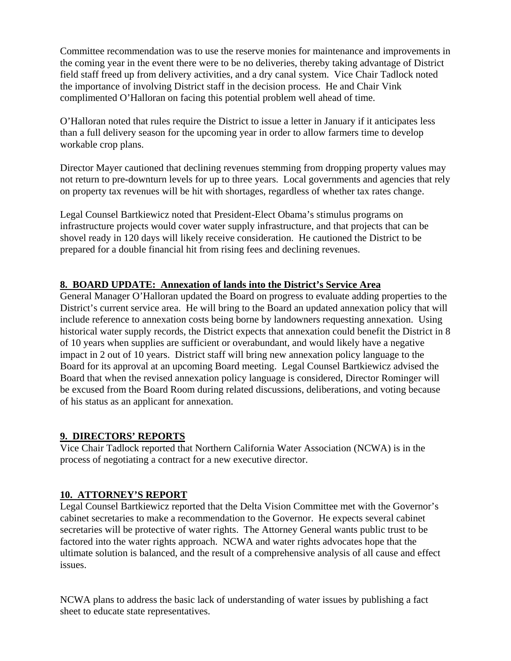Committee recommendation was to use the reserve monies for maintenance and improvements in the coming year in the event there were to be no deliveries, thereby taking advantage of District field staff freed up from delivery activities, and a dry canal system. Vice Chair Tadlock noted the importance of involving District staff in the decision process. He and Chair Vink complimented O'Halloran on facing this potential problem well ahead of time.

O'Halloran noted that rules require the District to issue a letter in January if it anticipates less than a full delivery season for the upcoming year in order to allow farmers time to develop workable crop plans.

Director Mayer cautioned that declining revenues stemming from dropping property values may not return to pre-downturn levels for up to three years. Local governments and agencies that rely on property tax revenues will be hit with shortages, regardless of whether tax rates change.

Legal Counsel Bartkiewicz noted that President-Elect Obama's stimulus programs on infrastructure projects would cover water supply infrastructure, and that projects that can be shovel ready in 120 days will likely receive consideration. He cautioned the District to be prepared for a double financial hit from rising fees and declining revenues.

# **8. BOARD UPDATE: Annexation of lands into the District's Service Area**

General Manager O'Halloran updated the Board on progress to evaluate adding properties to the District's current service area. He will bring to the Board an updated annexation policy that will include reference to annexation costs being borne by landowners requesting annexation. Using historical water supply records, the District expects that annexation could benefit the District in 8 of 10 years when supplies are sufficient or overabundant, and would likely have a negative impact in 2 out of 10 years. District staff will bring new annexation policy language to the Board for its approval at an upcoming Board meeting. Legal Counsel Bartkiewicz advised the Board that when the revised annexation policy language is considered, Director Rominger will be excused from the Board Room during related discussions, deliberations, and voting because of his status as an applicant for annexation.

### **9. DIRECTORS' REPORTS**

Vice Chair Tadlock reported that Northern California Water Association (NCWA) is in the process of negotiating a contract for a new executive director.

### **10. ATTORNEY'S REPORT**

Legal Counsel Bartkiewicz reported that the Delta Vision Committee met with the Governor's cabinet secretaries to make a recommendation to the Governor. He expects several cabinet secretaries will be protective of water rights. The Attorney General wants public trust to be factored into the water rights approach. NCWA and water rights advocates hope that the ultimate solution is balanced, and the result of a comprehensive analysis of all cause and effect issues.

NCWA plans to address the basic lack of understanding of water issues by publishing a fact sheet to educate state representatives.